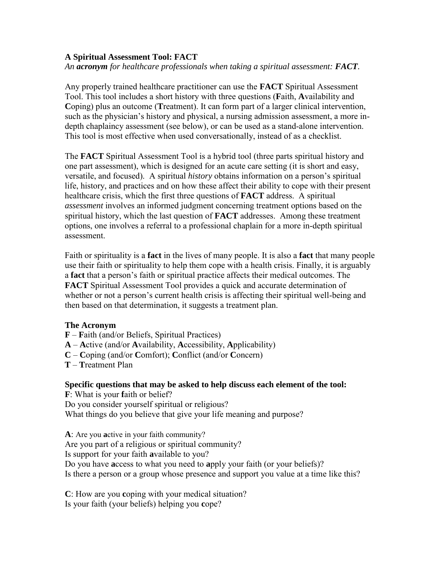### **A Spiritual Assessment Tool: FACT**

*An acronym for healthcare professionals when taking a spiritual assessment: FACT.* 

Any properly trained healthcare practitioner can use the **FACT** Spiritual Assessment Tool. This tool includes a short history with three questions (**F**aith, **A**vailability and **C**oping) plus an outcome (**T**reatment). It can form part of a larger clinical intervention, such as the physician's history and physical, a nursing admission assessment, a more indepth chaplaincy assessment (see below), or can be used as a stand-alone intervention. This tool is most effective when used conversationally, instead of as a checklist.

The **FACT** Spiritual Assessment Tool is a hybrid tool (three parts spiritual history and one part assessment), which is designed for an acute care setting (it is short and easy, versatile, and focused). A spiritual *history* obtains information on a person's spiritual life, history, and practices and on how these affect their ability to cope with their present healthcare crisis, which the first three questions of **FACT** address. A spiritual *assessment* involves an informed judgment concerning treatment options based on the spiritual history, which the last question of **FACT** addresses. Among these treatment options, one involves a referral to a professional chaplain for a more in-depth spiritual assessment.

Faith or spirituality is a **fact** in the lives of many people. It is also a **fact** that many people use their faith or spirituality to help them cope with a health crisis. Finally, it is arguably a **fact** that a person's faith or spiritual practice affects their medical outcomes. The **FACT** Spiritual Assessment Tool provides a quick and accurate determination of whether or not a person's current health crisis is affecting their spiritual well-being and then based on that determination, it suggests a treatment plan.

#### **The Acronym**

- **F F**aith (and/or Beliefs, Spiritual Practices)
- **A A**ctive (and/or **A**vailability, **A**ccessibility, **A**pplicability)
- **C C**oping (and/or **C**omfort); **C**onflict (and/or **C**oncern)
- **T T**reatment Plan

### **Specific questions that may be asked to help discuss each element of the tool:**

**F**: What is your **f**aith or belief? Do you consider yourself spiritual or religious? What things do you believe that give your life meaning and purpose?

**A**: Are you **a**ctive in your faith community? Are you part of a religious or spiritual community? Is support for your faith **a**vailable to you? Do you have **a**ccess to what you need to **a**pply your faith (or your beliefs)? Is there a person or a group whose presence and support you value at a time like this?

**C**: How are you **c**oping with your medical situation? Is your faith (your beliefs) helping you **c**ope?